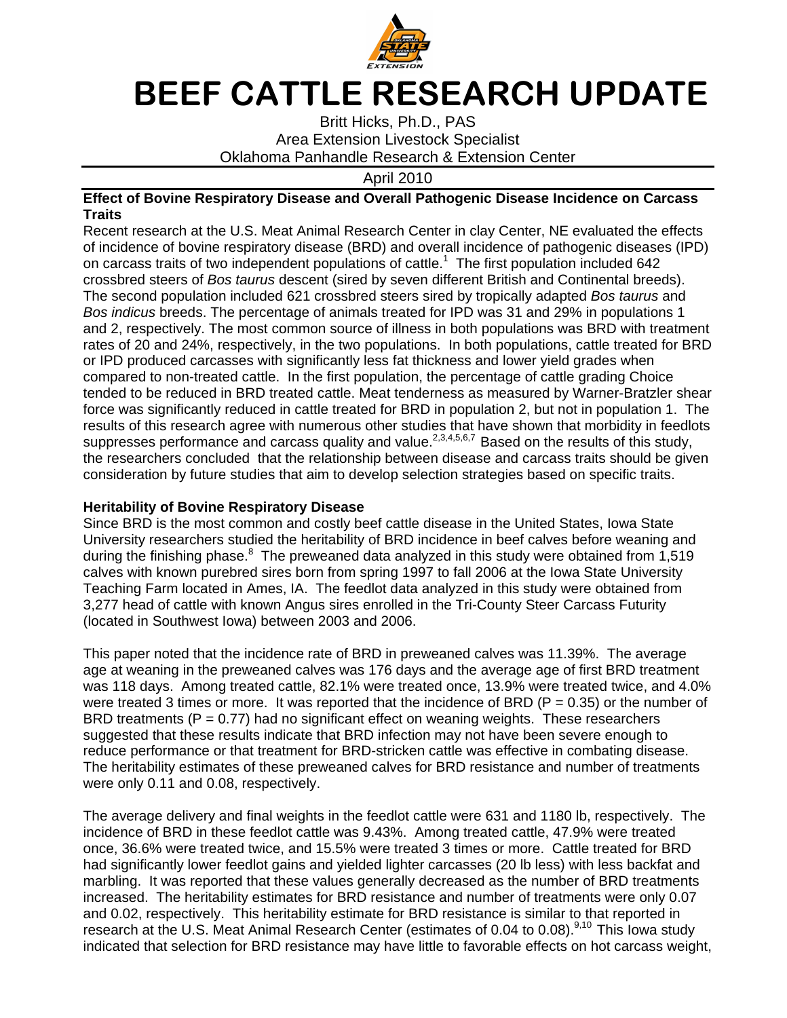

## BEEF CATTLE RESEARCH UPDATE

Britt Hicks, Ph.D., PAS Area Extension Livestock Specialist Oklahoma Panhandle Research & Extension Center

April 2010

## **Effect of Bovine Respiratory Disease and Overall Pathogenic Disease Incidence on Carcass Traits**

Recent research at the U.S. Meat Animal Research Center in clay Center, NE evaluated the effects of incidence of bovine respiratory disease (BRD) and overall incidence of pathogenic diseases (IPD) on carcass traits of two independent populations of cattle.<sup>1</sup> The first population included 642 crossbred steers of Bos taurus descent (sired by seven different British and Continental breeds). The second population included 621 crossbred steers sired by tropically adapted Bos taurus and Bos indicus breeds. The percentage of animals treated for IPD was 31 and 29% in populations 1 and 2, respectively. The most common source of illness in both populations was BRD with treatment rates of 20 and 24%, respectively, in the two populations. In both populations, cattle treated for BRD or IPD produced carcasses with significantly less fat thickness and lower yield grades when compared to non-treated cattle. In the first population, the percentage of cattle grading Choice tended to be reduced in BRD treated cattle. Meat tenderness as measured by Warner-Bratzler shear force was significantly reduced in cattle treated for BRD in population 2, but not in population 1. The results of this research agree with numerous other studies that have shown that morbidity in feedlots suppresses performance and carcass quality and value.<sup>2,3,4,5,6,7</sup> Based on the results of this study, the researchers concluded that the relationship between disease and carcass traits should be given consideration by future studies that aim to develop selection strategies based on specific traits.

## **Heritability of Bovine Respiratory Disease**

Since BRD is the most common and costly beef cattle disease in the United States, Iowa State University researchers studied the heritability of BRD incidence in beef calves before weaning and during the finishing phase. $8\,$  The preweaned data analyzed in this study were obtained from 1,519 calves with known purebred sires born from spring 1997 to fall 2006 at the Iowa State University Teaching Farm located in Ames, IA. The feedlot data analyzed in this study were obtained from 3,277 head of cattle with known Angus sires enrolled in the Tri-County Steer Carcass Futurity (located in Southwest Iowa) between 2003 and 2006.

This paper noted that the incidence rate of BRD in preweaned calves was 11.39%. The average age at weaning in the preweaned calves was 176 days and the average age of first BRD treatment was 118 days. Among treated cattle, 82.1% were treated once, 13.9% were treated twice, and 4.0% were treated 3 times or more. It was reported that the incidence of BRD ( $P = 0.35$ ) or the number of BRD treatments ( $P = 0.77$ ) had no significant effect on weaning weights. These researchers suggested that these results indicate that BRD infection may not have been severe enough to reduce performance or that treatment for BRD-stricken cattle was effective in combating disease. The heritability estimates of these preweaned calves for BRD resistance and number of treatments were only 0.11 and 0.08, respectively.

The average delivery and final weights in the feedlot cattle were 631 and 1180 lb, respectively. The incidence of BRD in these feedlot cattle was 9.43%. Among treated cattle, 47.9% were treated once, 36.6% were treated twice, and 15.5% were treated 3 times or more. Cattle treated for BRD had significantly lower feedlot gains and yielded lighter carcasses (20 lb less) with less backfat and marbling. It was reported that these values generally decreased as the number of BRD treatments increased. The heritability estimates for BRD resistance and number of treatments were only 0.07 and 0.02, respectively. This heritability estimate for BRD resistance is similar to that reported in research at the U.S. Meat Animal Research Center (estimates of 0.04 to 0.08).<sup>9,10</sup> This lowa study indicated that selection for BRD resistance may have little to favorable effects on hot carcass weight,